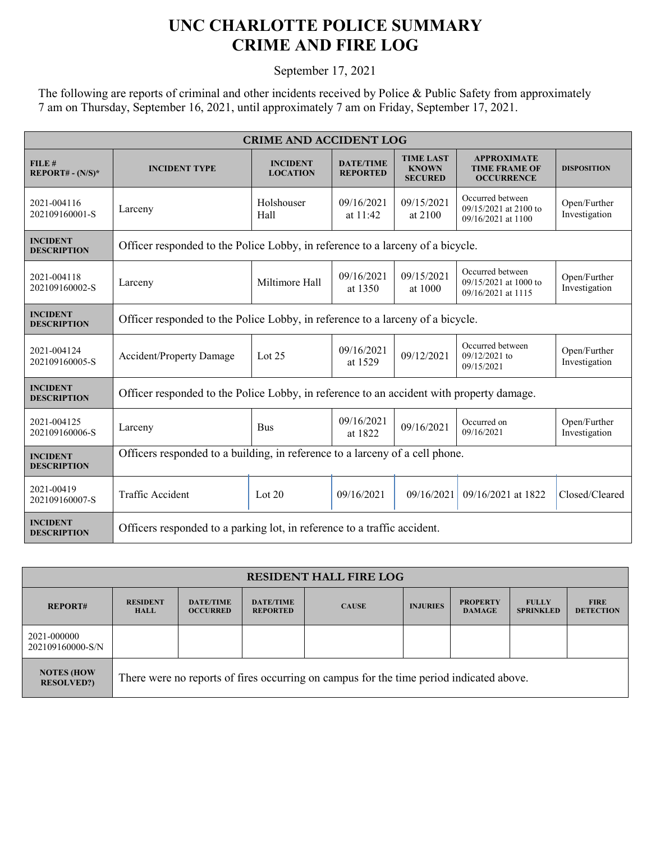## **UNC CHARLOTTE POLICE SUMMARY CRIME AND FIRE LOG**

September 17, 2021

The following are reports of criminal and other incidents received by Police & Public Safety from approximately 7 am on Thursday, September 16, 2021, until approximately 7 am on Friday, September 17, 2021.

| <b>CRIME AND ACCIDENT LOG</b>         |                                                                                          |                                    |                                     |                                                    |                                                                 |                               |  |  |
|---------------------------------------|------------------------------------------------------------------------------------------|------------------------------------|-------------------------------------|----------------------------------------------------|-----------------------------------------------------------------|-------------------------------|--|--|
| FILE#<br>$REPORT# - (N/S)*$           | <b>INCIDENT TYPE</b>                                                                     | <b>INCIDENT</b><br><b>LOCATION</b> | <b>DATE/TIME</b><br><b>REPORTED</b> | <b>TIME LAST</b><br><b>KNOWN</b><br><b>SECURED</b> | <b>APPROXIMATE</b><br><b>TIME FRAME OF</b><br><b>OCCURRENCE</b> | <b>DISPOSITION</b>            |  |  |
| 2021-004116<br>202109160001-S         | Larceny                                                                                  | Holshouser<br>Hall                 | 09/16/2021<br>at $11:42$            | 09/15/2021<br>at 2100                              | Occurred between<br>09/15/2021 at 2100 to<br>09/16/2021 at 1100 | Open/Further<br>Investigation |  |  |
| <b>INCIDENT</b><br><b>DESCRIPTION</b> | Officer responded to the Police Lobby, in reference to a larceny of a bicycle.           |                                    |                                     |                                                    |                                                                 |                               |  |  |
| 2021-004118<br>202109160002-S         | Larceny                                                                                  | Miltimore Hall                     | 09/16/2021<br>at 1350               | 09/15/2021<br>at 1000                              | Occurred between<br>09/15/2021 at 1000 to<br>09/16/2021 at 1115 | Open/Further<br>Investigation |  |  |
| <b>INCIDENT</b><br><b>DESCRIPTION</b> | Officer responded to the Police Lobby, in reference to a larceny of a bicycle.           |                                    |                                     |                                                    |                                                                 |                               |  |  |
| 2021-004124<br>202109160005-S         | <b>Accident/Property Damage</b>                                                          | Lot $25$                           | 09/16/2021<br>at 1529               | 09/12/2021                                         | Occurred between<br>$09/12/2021$ to<br>09/15/2021               | Open/Further<br>Investigation |  |  |
| <b>INCIDENT</b><br><b>DESCRIPTION</b> | Officer responded to the Police Lobby, in reference to an accident with property damage. |                                    |                                     |                                                    |                                                                 |                               |  |  |
| 2021-004125<br>202109160006-S         | Larceny                                                                                  | <b>Bus</b>                         | 09/16/2021<br>at 1822               | 09/16/2021                                         | Occurred on<br>09/16/2021                                       | Open/Further<br>Investigation |  |  |
| <b>INCIDENT</b><br><b>DESCRIPTION</b> | Officers responded to a building, in reference to a larceny of a cell phone.             |                                    |                                     |                                                    |                                                                 |                               |  |  |
| 2021-00419<br>202109160007-S          | Traffic Accident                                                                         | Lot $20$                           | 09/16/2021                          | 09/16/2021                                         | 09/16/2021 at 1822                                              | Closed/Cleared                |  |  |
| <b>INCIDENT</b><br><b>DESCRIPTION</b> | Officers responded to a parking lot, in reference to a traffic accident.                 |                                    |                                     |                                                    |                                                                 |                               |  |  |

| <b>RESIDENT HALL FIRE LOG</b>          |                                                                                         |                                     |                                     |              |                 |                                  |                                  |                                 |
|----------------------------------------|-----------------------------------------------------------------------------------------|-------------------------------------|-------------------------------------|--------------|-----------------|----------------------------------|----------------------------------|---------------------------------|
| <b>REPORT#</b>                         | <b>RESIDENT</b><br><b>HALL</b>                                                          | <b>DATE/TIME</b><br><b>OCCURRED</b> | <b>DATE/TIME</b><br><b>REPORTED</b> | <b>CAUSE</b> | <b>INJURIES</b> | <b>PROPERTY</b><br><b>DAMAGE</b> | <b>FULLY</b><br><b>SPRINKLED</b> | <b>FIRE</b><br><b>DETECTION</b> |
| 2021-000000<br>202109160000-S/N        |                                                                                         |                                     |                                     |              |                 |                                  |                                  |                                 |
| <b>NOTES (HOW)</b><br><b>RESOLVED?</b> | There were no reports of fires occurring on campus for the time period indicated above. |                                     |                                     |              |                 |                                  |                                  |                                 |